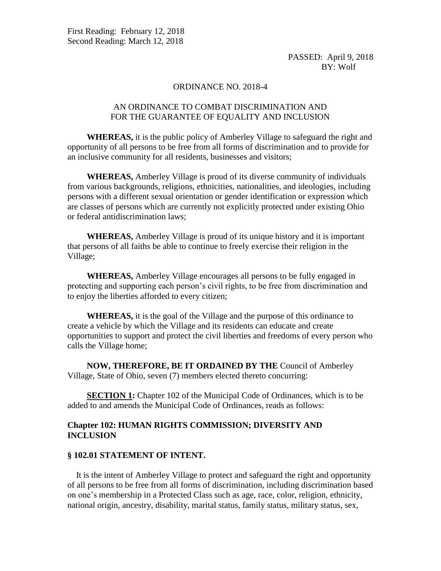### ORDINANCE NO. 2018-4

# AN ORDINANCE TO COMBAT DISCRIMINATION AND FOR THE GUARANTEE OF EQUALITY AND INCLUSION

 **WHEREAS,** it is the public policy of Amberley Village to safeguard the right and opportunity of all persons to be free from all forms of discrimination and to provide for an inclusive community for all residents, businesses and visitors;

 **WHEREAS,** Amberley Village is proud of its diverse community of individuals from various backgrounds, religions, ethnicities, nationalities, and ideologies, including persons with a different sexual orientation or gender identification or expression which are classes of persons which are currently not explicitly protected under existing Ohio or federal antidiscrimination laws;

 **WHEREAS,** Amberley Village is proud of its unique history and it is important that persons of all faiths be able to continue to freely exercise their religion in the Village;

 **WHEREAS,** Amberley Village encourages all persons to be fully engaged in protecting and supporting each person's civil rights, to be free from discrimination and to enjoy the liberties afforded to every citizen;

 **WHEREAS,** it is the goal of the Village and the purpose of this ordinance to create a vehicle by which the Village and its residents can educate and create opportunities to support and protect the civil liberties and freedoms of every person who calls the Village home;

 **NOW, THEREFORE, BE IT ORDAINED BY THE** Council of Amberley Village, State of Ohio, seven (7) members elected thereto concurring:

**SECTION 1:** Chapter 102 of the Municipal Code of Ordinances, which is to be added to and amends the Municipal Code of Ordinances, reads as follows:

# **Chapter 102: HUMAN RIGHTS COMMISSION; DIVERSITY AND INCLUSION**

### **§ 102.01 STATEMENT OF INTENT.**

 It is the intent of Amberley Village to protect and safeguard the right and opportunity of all persons to be free from all forms of discrimination, including discrimination based on one's membership in a Protected Class such as age, race, color, religion, ethnicity, national origin, ancestry, disability, marital status, family status, military status, sex,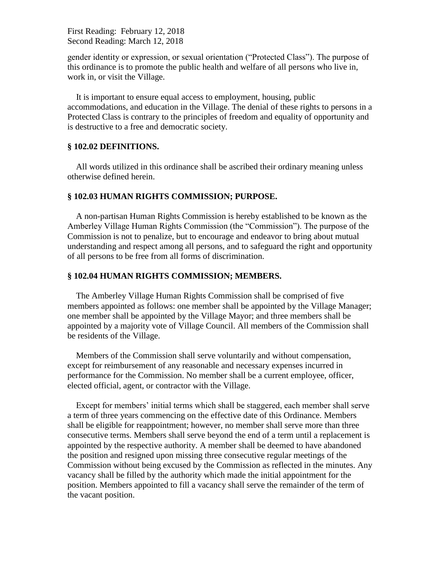gender identity or expression, or sexual orientation ("Protected Class"). The purpose of this ordinance is to promote the public health and welfare of all persons who live in, work in, or visit the Village.

 It is important to ensure equal access to employment, housing, public accommodations, and education in the Village. The denial of these rights to persons in a Protected Class is contrary to the principles of freedom and equality of opportunity and is destructive to a free and democratic society.

### **§ 102.02 DEFINITIONS.**

 All words utilized in this ordinance shall be ascribed their ordinary meaning unless otherwise defined herein.

### **§ 102.03 HUMAN RIGHTS COMMISSION; PURPOSE.**

 A non-partisan Human Rights Commission is hereby established to be known as the Amberley Village Human Rights Commission (the "Commission"). The purpose of the Commission is not to penalize, but to encourage and endeavor to bring about mutual understanding and respect among all persons, and to safeguard the right and opportunity of all persons to be free from all forms of discrimination.

### **§ 102.04 HUMAN RIGHTS COMMISSION; MEMBERS.**

 The Amberley Village Human Rights Commission shall be comprised of five members appointed as follows: one member shall be appointed by the Village Manager; one member shall be appointed by the Village Mayor; and three members shall be appointed by a majority vote of Village Council. All members of the Commission shall be residents of the Village.

 Members of the Commission shall serve voluntarily and without compensation, except for reimbursement of any reasonable and necessary expenses incurred in performance for the Commission. No member shall be a current employee, officer, elected official, agent, or contractor with the Village.

 Except for members' initial terms which shall be staggered, each member shall serve a term of three years commencing on the effective date of this Ordinance. Members shall be eligible for reappointment; however, no member shall serve more than three consecutive terms. Members shall serve beyond the end of a term until a replacement is appointed by the respective authority. A member shall be deemed to have abandoned the position and resigned upon missing three consecutive regular meetings of the Commission without being excused by the Commission as reflected in the minutes. Any vacancy shall be filled by the authority which made the initial appointment for the position. Members appointed to fill a vacancy shall serve the remainder of the term of the vacant position.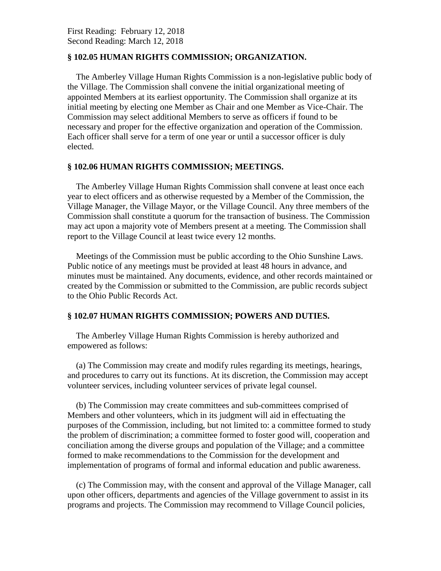# **§ 102.05 HUMAN RIGHTS COMMISSION; ORGANIZATION.**

 The Amberley Village Human Rights Commission is a non-legislative public body of the Village. The Commission shall convene the initial organizational meeting of appointed Members at its earliest opportunity. The Commission shall organize at its initial meeting by electing one Member as Chair and one Member as Vice-Chair. The Commission may select additional Members to serve as officers if found to be necessary and proper for the effective organization and operation of the Commission. Each officer shall serve for a term of one year or until a successor officer is duly elected.

# **§ 102.06 HUMAN RIGHTS COMMISSION; MEETINGS.**

 The Amberley Village Human Rights Commission shall convene at least once each year to elect officers and as otherwise requested by a Member of the Commission, the Village Manager, the Village Mayor, or the Village Council. Any three members of the Commission shall constitute a quorum for the transaction of business. The Commission may act upon a majority vote of Members present at a meeting. The Commission shall report to the Village Council at least twice every 12 months.

 Meetings of the Commission must be public according to the Ohio Sunshine Laws. Public notice of any meetings must be provided at least 48 hours in advance, and minutes must be maintained. Any documents, evidence, and other records maintained or created by the Commission or submitted to the Commission, are public records subject to the Ohio Public Records Act.

# **§ 102.07 HUMAN RIGHTS COMMISSION; POWERS AND DUTIES.**

 The Amberley Village Human Rights Commission is hereby authorized and empowered as follows:

 (a) The Commission may create and modify rules regarding its meetings, hearings, and procedures to carry out its functions. At its discretion, the Commission may accept volunteer services, including volunteer services of private legal counsel.

 (b) The Commission may create committees and sub-committees comprised of Members and other volunteers, which in its judgment will aid in effectuating the purposes of the Commission, including, but not limited to: a committee formed to study the problem of discrimination; a committee formed to foster good will, cooperation and conciliation among the diverse groups and population of the Village; and a committee formed to make recommendations to the Commission for the development and implementation of programs of formal and informal education and public awareness.

 (c) The Commission may, with the consent and approval of the Village Manager, call upon other officers, departments and agencies of the Village government to assist in its programs and projects. The Commission may recommend to Village Council policies,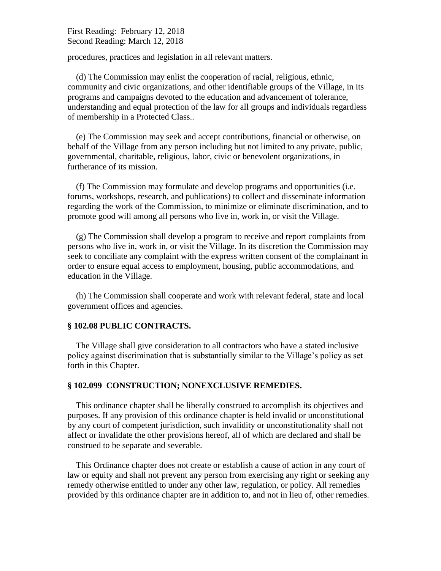procedures, practices and legislation in all relevant matters.

 (d) The Commission may enlist the cooperation of racial, religious, ethnic, community and civic organizations, and other identifiable groups of the Village, in its programs and campaigns devoted to the education and advancement of tolerance, understanding and equal protection of the law for all groups and individuals regardless of membership in a Protected Class..

 (e) The Commission may seek and accept contributions, financial or otherwise, on behalf of the Village from any person including but not limited to any private, public, governmental, charitable, religious, labor, civic or benevolent organizations, in furtherance of its mission.

 (f) The Commission may formulate and develop programs and opportunities (i.e. forums, workshops, research, and publications) to collect and disseminate information regarding the work of the Commission, to minimize or eliminate discrimination, and to promote good will among all persons who live in, work in, or visit the Village.

 (g) The Commission shall develop a program to receive and report complaints from persons who live in, work in, or visit the Village. In its discretion the Commission may seek to conciliate any complaint with the express written consent of the complainant in order to ensure equal access to employment, housing, public accommodations, and education in the Village.

 (h) The Commission shall cooperate and work with relevant federal, state and local government offices and agencies.

## **§ 102.08 PUBLIC CONTRACTS.**

 The Village shall give consideration to all contractors who have a stated inclusive policy against discrimination that is substantially similar to the Village's policy as set forth in this Chapter.

## **§ 102.099 CONSTRUCTION; NONEXCLUSIVE REMEDIES.**

 This ordinance chapter shall be liberally construed to accomplish its objectives and purposes. If any provision of this ordinance chapter is held invalid or unconstitutional by any court of competent jurisdiction, such invalidity or unconstitutionality shall not affect or invalidate the other provisions hereof, all of which are declared and shall be construed to be separate and severable.

 This Ordinance chapter does not create or establish a cause of action in any court of law or equity and shall not prevent any person from exercising any right or seeking any remedy otherwise entitled to under any other law, regulation, or policy. All remedies provided by this ordinance chapter are in addition to, and not in lieu of, other remedies.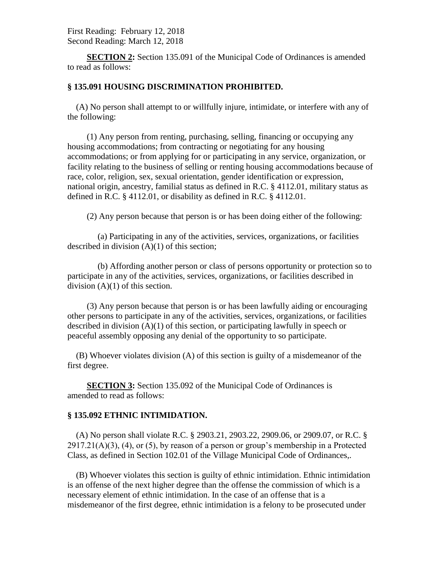**SECTION 2:** Section 135.091 of the Municipal Code of Ordinances is amended to read as follows:

## **§ 135.091 HOUSING DISCRIMINATION PROHIBITED.**

 (A) No person shall attempt to or willfully injure, intimidate, or interfere with any of the following:

 (1) Any person from renting, purchasing, selling, financing or occupying any housing accommodations; from contracting or negotiating for any housing accommodations; or from applying for or participating in any service, organization, or facility relating to the business of selling or renting housing accommodations because of race, color, religion, sex, sexual orientation, gender identification or expression, national origin, ancestry, familial status as defined in R.C. § 4112.01, military status as defined in R.C. § 4112.01, or disability as defined in R.C. § 4112.01.

(2) Any person because that person is or has been doing either of the following:

 (a) Participating in any of the activities, services, organizations, or facilities described in division (A)(1) of this section;

 (b) Affording another person or class of persons opportunity or protection so to participate in any of the activities, services, organizations, or facilities described in division  $(A)(1)$  of this section.

 (3) Any person because that person is or has been lawfully aiding or encouraging other persons to participate in any of the activities, services, organizations, or facilities described in division (A)(1) of this section, or participating lawfully in speech or peaceful assembly opposing any denial of the opportunity to so participate.

 (B) Whoever violates division (A) of this section is guilty of a misdemeanor of the first degree.

**SECTION 3:** Section 135.092 of the Municipal Code of Ordinances is amended to read as follows:

## **§ 135.092 ETHNIC INTIMIDATION.**

 (A) No person shall violate R.C. § 2903.21, 2903.22, 2909.06, or 2909.07, or R.C. §  $2917.21(A)(3)$ , (4), or (5), by reason of a person or group's membership in a Protected Class, as defined in Section 102.01 of the Village Municipal Code of Ordinances,.

 (B) Whoever violates this section is guilty of ethnic intimidation. Ethnic intimidation is an offense of the next higher degree than the offense the commission of which is a necessary element of ethnic intimidation. In the case of an offense that is a misdemeanor of the first degree, ethnic intimidation is a felony to be prosecuted under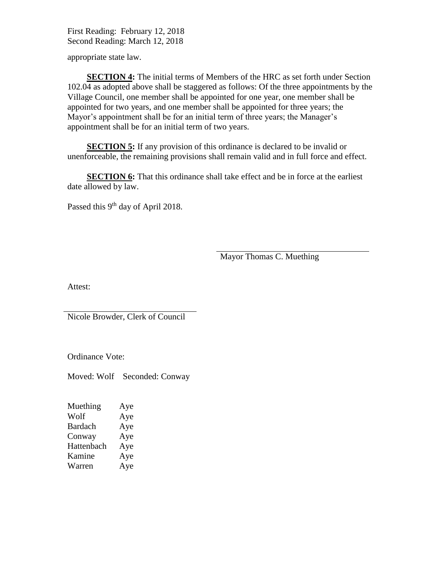appropriate state law.

 **SECTION 4:** The initial terms of Members of the HRC as set forth under Section 102.04 as adopted above shall be staggered as follows: Of the three appointments by the Village Council, one member shall be appointed for one year, one member shall be appointed for two years, and one member shall be appointed for three years; the Mayor's appointment shall be for an initial term of three years; the Manager's appointment shall be for an initial term of two years.

**SECTION 5:** If any provision of this ordinance is declared to be invalid or unenforceable, the remaining provisions shall remain valid and in full force and effect.

**SECTION 6:** That this ordinance shall take effect and be in force at the earliest date allowed by law.

Passed this 9<sup>th</sup> day of April 2018.

Mayor Thomas C. Muething

Attest:

Nicole Browder, Clerk of Council

Ordinance Vote:

Moved: Wolf Seconded: Conway

| Muething       | Aye |
|----------------|-----|
| Wolf           | Aye |
| <b>Bardach</b> | Aye |
| Conway         | Aye |
| Hattenbach     | Aye |
| Kamine         | Aye |
| Warren         | Aye |